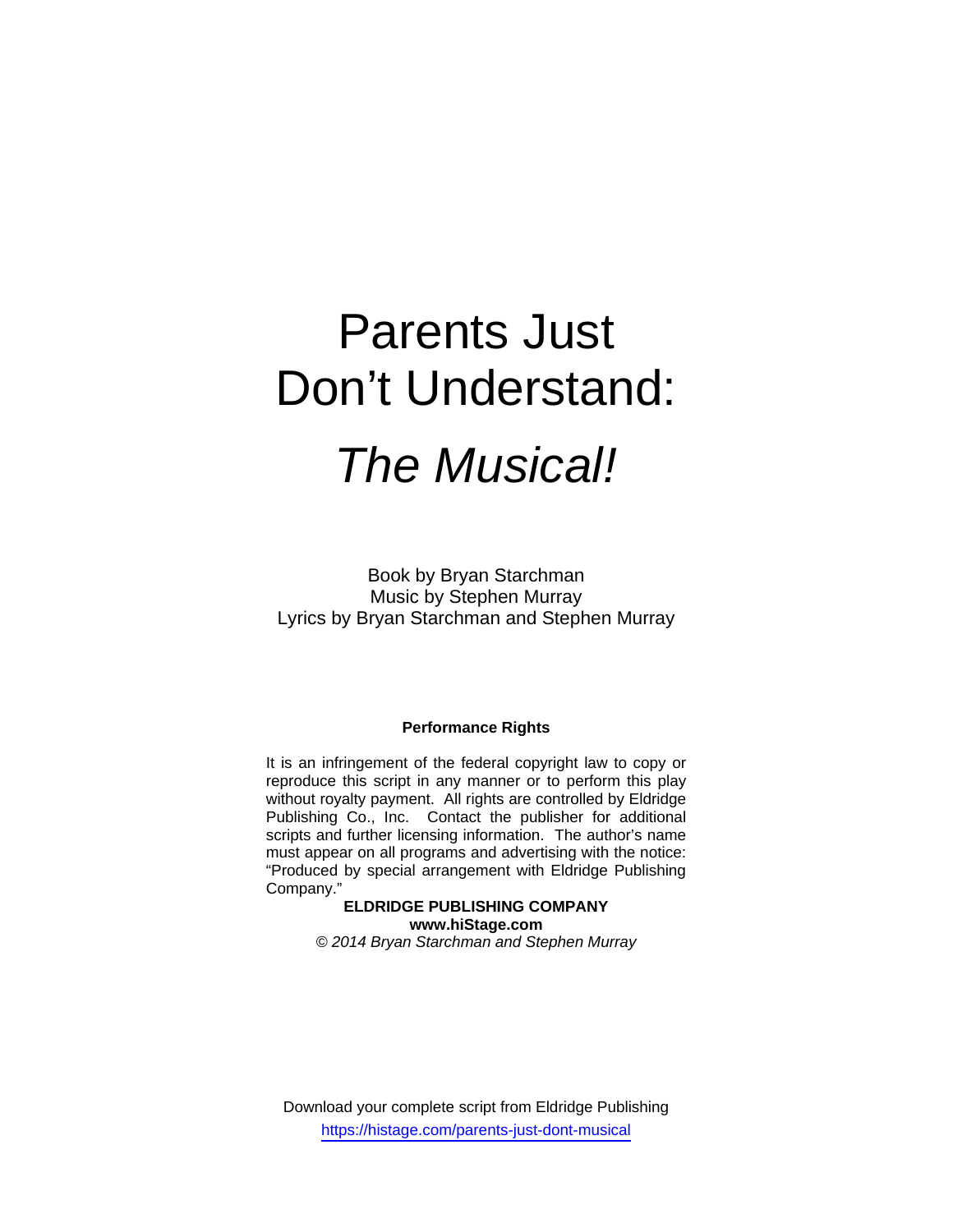# Parents Just Don't Understand: *The Musical!*

Book by Bryan Starchman Music by Stephen Murray Lyrics by Bryan Starchman and Stephen Murray

### **Performance Rights**

It is an infringement of the federal copyright law to copy or reproduce this script in any manner or to perform this play without royalty payment. All rights are controlled by Eldridge Publishing Co., Inc. Contact the publisher for additional scripts and further licensing information. The author's name must appear on all programs and advertising with the notice: "Produced by special arrangement with Eldridge Publishing Company."

## **ELDRIDGE PUBLISHING COMPANY www.hiStage.com**

*© 2014 Bryan Starchman and Stephen Murray* 

Download your complete script from Eldridge Publishing https://histage.com/parents-just-dont-musical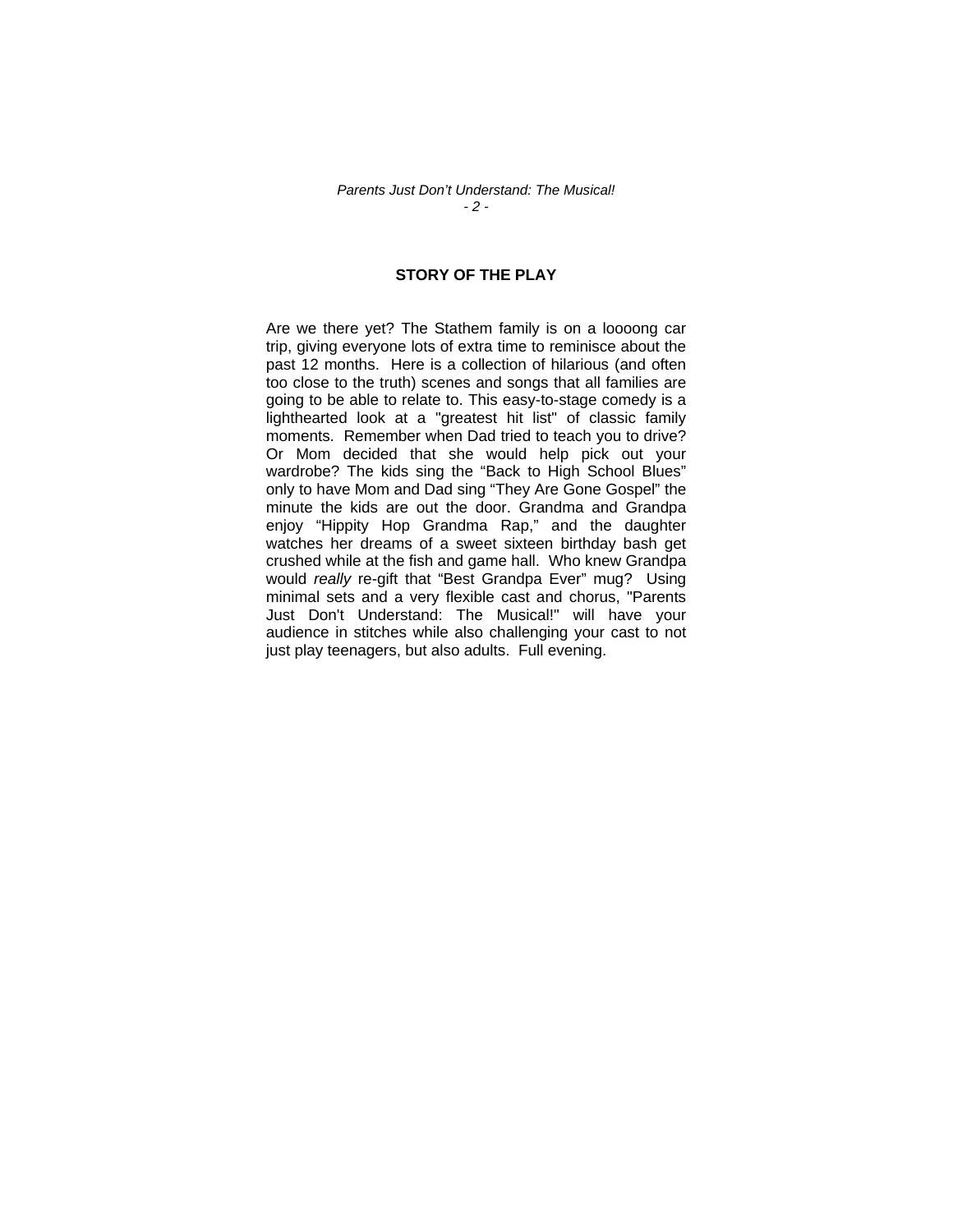#### *Parents Just Don't Understand: The Musical! - 2 -*

## **STORY OF THE PLAY**

Are we there yet? The Stathem family is on a loooong car trip, giving everyone lots of extra time to reminisce about the past 12 months. Here is a collection of hilarious (and often too close to the truth) scenes and songs that all families are going to be able to relate to. This easy-to-stage comedy is a lighthearted look at a "greatest hit list" of classic family moments. Remember when Dad tried to teach you to drive? Or Mom decided that she would help pick out your wardrobe? The kids sing the "Back to High School Blues" only to have Mom and Dad sing "They Are Gone Gospel" the minute the kids are out the door. Grandma and Grandpa enjoy "Hippity Hop Grandma Rap," and the daughter watches her dreams of a sweet sixteen birthday bash get crushed while at the fish and game hall. Who knew Grandpa would *really* re-gift that "Best Grandpa Ever" mug? Using minimal sets and a very flexible cast and chorus, "Parents Just Don't Understand: The Musical!" will have your audience in stitches while also challenging your cast to not just play teenagers, but also adults. Full evening.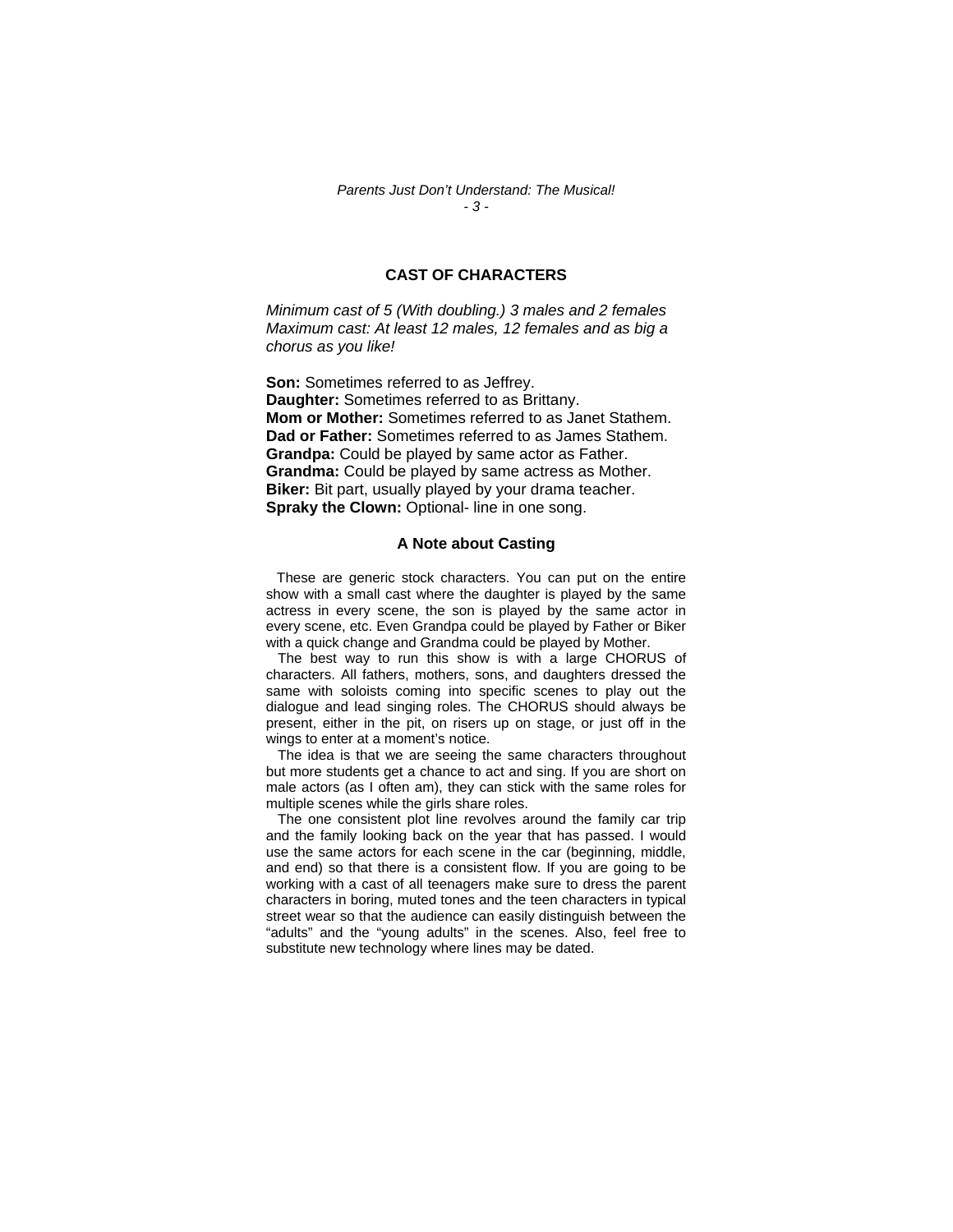#### *Parents Just Don't Understand: The Musical! - 3 -*

## **CAST OF CHARACTERS**

*Minimum cast of 5 (With doubling.) 3 males and 2 females Maximum cast: At least 12 males, 12 females and as big a chorus as you like!* 

**Son:** Sometimes referred to as Jeffrey. **Daughter:** Sometimes referred to as Brittany. **Mom or Mother:** Sometimes referred to as Janet Stathem. **Dad or Father:** Sometimes referred to as James Stathem. **Grandpa:** Could be played by same actor as Father. **Grandma:** Could be played by same actress as Mother. **Biker:** Bit part, usually played by your drama teacher. **Spraky the Clown:** Optional- line in one song.

#### **A Note about Casting**

 These are generic stock characters. You can put on the entire show with a small cast where the daughter is played by the same actress in every scene, the son is played by the same actor in every scene, etc. Even Grandpa could be played by Father or Biker with a quick change and Grandma could be played by Mother.

 The best way to run this show is with a large CHORUS of characters. All fathers, mothers, sons, and daughters dressed the same with soloists coming into specific scenes to play out the dialogue and lead singing roles. The CHORUS should always be present, either in the pit, on risers up on stage, or just off in the wings to enter at a moment's notice.

 The idea is that we are seeing the same characters throughout but more students get a chance to act and sing. If you are short on male actors (as I often am), they can stick with the same roles for multiple scenes while the girls share roles.

 The one consistent plot line revolves around the family car trip and the family looking back on the year that has passed. I would use the same actors for each scene in the car (beginning, middle, and end) so that there is a consistent flow. If you are going to be working with a cast of all teenagers make sure to dress the parent characters in boring, muted tones and the teen characters in typical street wear so that the audience can easily distinguish between the "adults" and the "young adults" in the scenes. Also, feel free to substitute new technology where lines may be dated.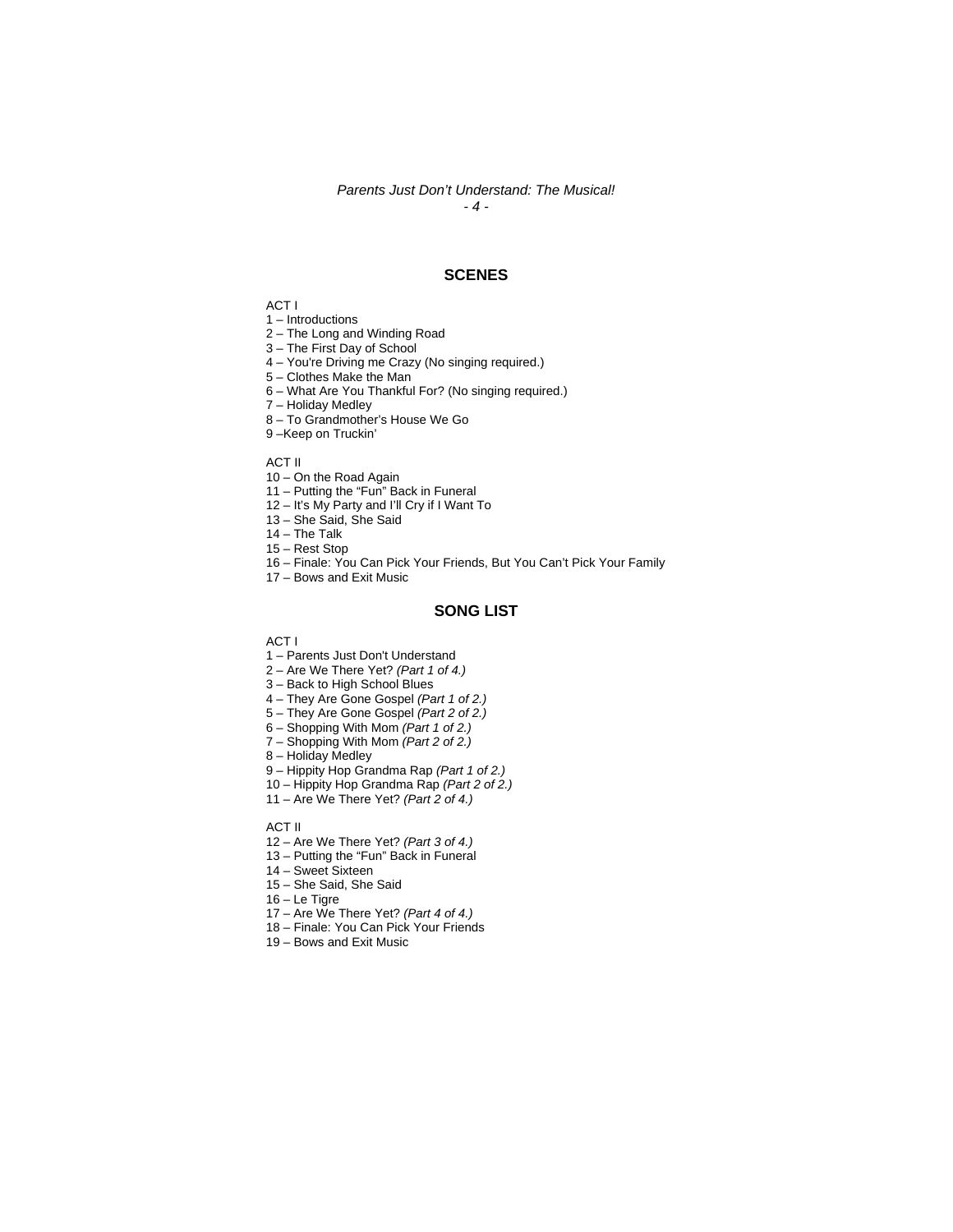#### *Parents Just Don't Understand: The Musical! - 4 -*

**SCENES** 

ACT I

1 – Introductions

2 – The Long and Winding Road

3 – The First Day of School

4 – You're Driving me Crazy (No singing required.)

5 – Clothes Make the Man

6 – What Are You Thankful For? (No singing required.)

7 – Holiday Medley

8 – To Grandmother's House We Go

9 –Keep on Truckin'

ACT II

10 – On the Road Again

11 – Putting the "Fun" Back in Funeral

12 – It's My Party and I'll Cry if I Want To

13 – She Said, She Said

14 – The Talk

15 – Rest Stop

16 – Finale: You Can Pick Your Friends, But You Can't Pick Your Family

17 – Bows and Exit Music

#### **SONG LIST**

ACT I

1 – Parents Just Don't Understand

2 – Are We There Yet? *(Part 1 of 4.)*

3 – Back to High School Blues

4 – They Are Gone Gospel *(Part 1 of 2.)*

5 – They Are Gone Gospel *(Part 2 of 2.)*

6 – Shopping With Mom *(Part 1 of 2.)*

7 – Shopping With Mom *(Part 2 of 2.)*

8 – Holiday Medley

9 – Hippity Hop Grandma Rap *(Part 1 of 2.)*

10 – Hippity Hop Grandma Rap *(Part 2 of 2.)*

11 – Are We There Yet? *(Part 2 of 4.)*

ACT II

12 – Are We There Yet? *(Part 3 of 4.)*

13 – Putting the "Fun" Back in Funeral

14 – Sweet Sixteen

15 – She Said, She Said

16 – Le Tigre

17 – Are We There Yet? *(Part 4 of 4.)*

18 – Finale: You Can Pick Your Friends

19 – Bows and Exit Music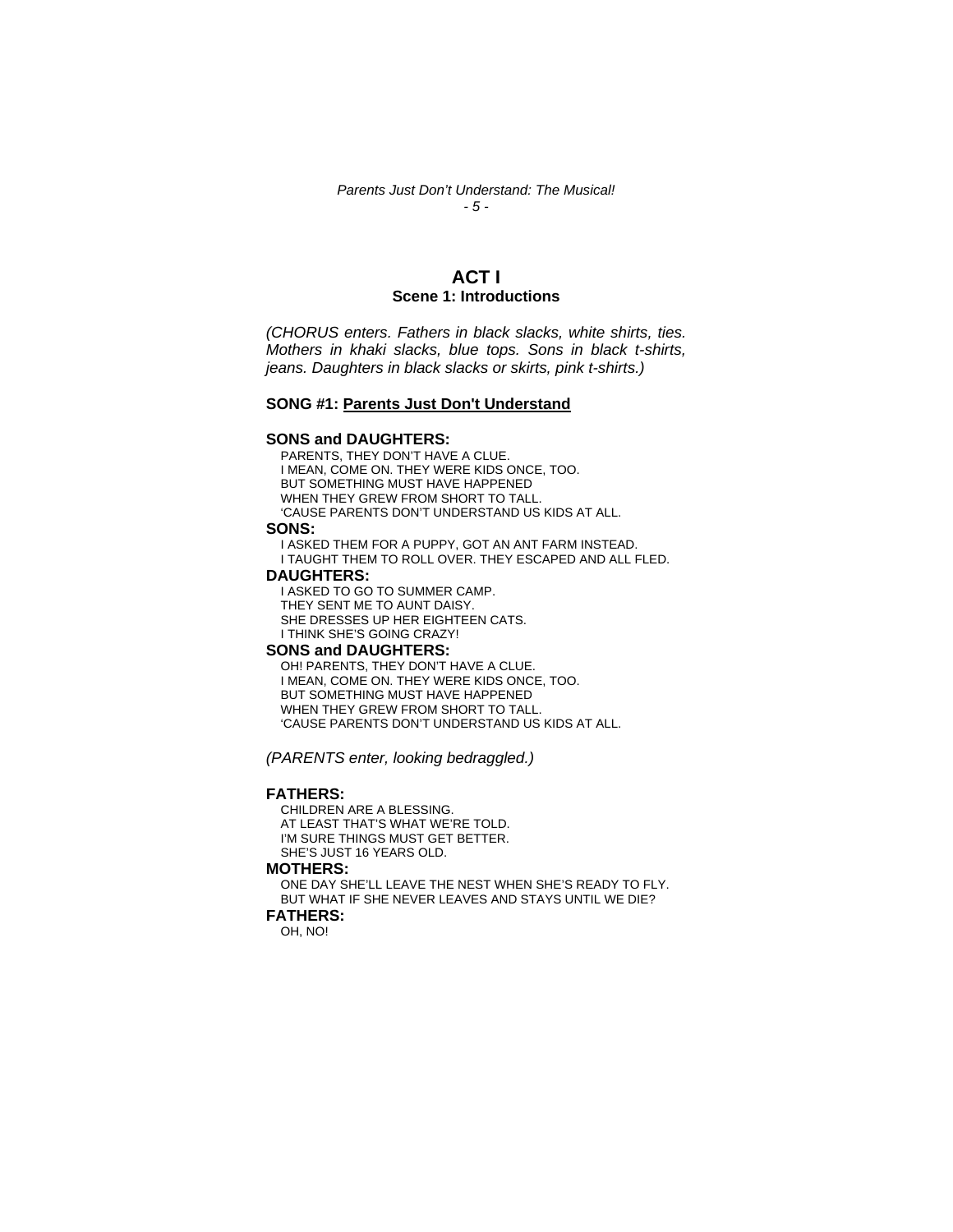#### *Parents Just Don't Understand: The Musical! - 5 -*

## **ACT I Scene 1: Introductions**

*(CHORUS enters. Fathers in black slacks, white shirts, ties. Mothers in khaki slacks, blue tops. Sons in black t-shirts, jeans. Daughters in black slacks or skirts, pink t-shirts.)* 

#### **SONG #1: Parents Just Don't Understand**

#### **SONS and DAUGHTERS:**

PARENTS, THEY DON'T HAVE A CLUE. I MEAN, COME ON. THEY WERE KIDS ONCE, TOO. BUT SOMETHING MUST HAVE HAPPENED WHEN THEY GREW FROM SHORT TO TALL. 'CAUSE PARENTS DON'T UNDERSTAND US KIDS AT ALL.

#### **SONS:**

I ASKED THEM FOR A PUPPY, GOT AN ANT FARM INSTEAD. I TAUGHT THEM TO ROLL OVER. THEY ESCAPED AND ALL FLED.

#### **DAUGHTERS:**

I ASKED TO GO TO SUMMER CAMP. THEY SENT ME TO AUNT DAISY. SHE DRESSES UP HER EIGHTEEN CATS. I THINK SHE'S GOING CRAZY!

#### **SONS and DAUGHTERS:**

OH! PARENTS, THEY DON'T HAVE A CLUE. I MEAN, COME ON. THEY WERE KIDS ONCE, TOO. BUT SOMETHING MUST HAVE HAPPENED WHEN THEY GREW FROM SHORT TO TALL. 'CAUSE PARENTS DON'T UNDERSTAND US KIDS AT ALL.

*(PARENTS enter, looking bedraggled.)* 

#### **FATHERS:**

CHILDREN ARE A BLESSING. AT LEAST THAT'S WHAT WE'RE TOLD. I'M SURE THINGS MUST GET BETTER. SHE'S JUST 16 YEARS OLD.

## **MOTHERS:**

ONE DAY SHE'LL LEAVE THE NEST WHEN SHE'S READY TO FLY. BUT WHAT IF SHE NEVER LEAVES AND STAYS UNTIL WE DIE? **FATHERS:** 

OH, NO!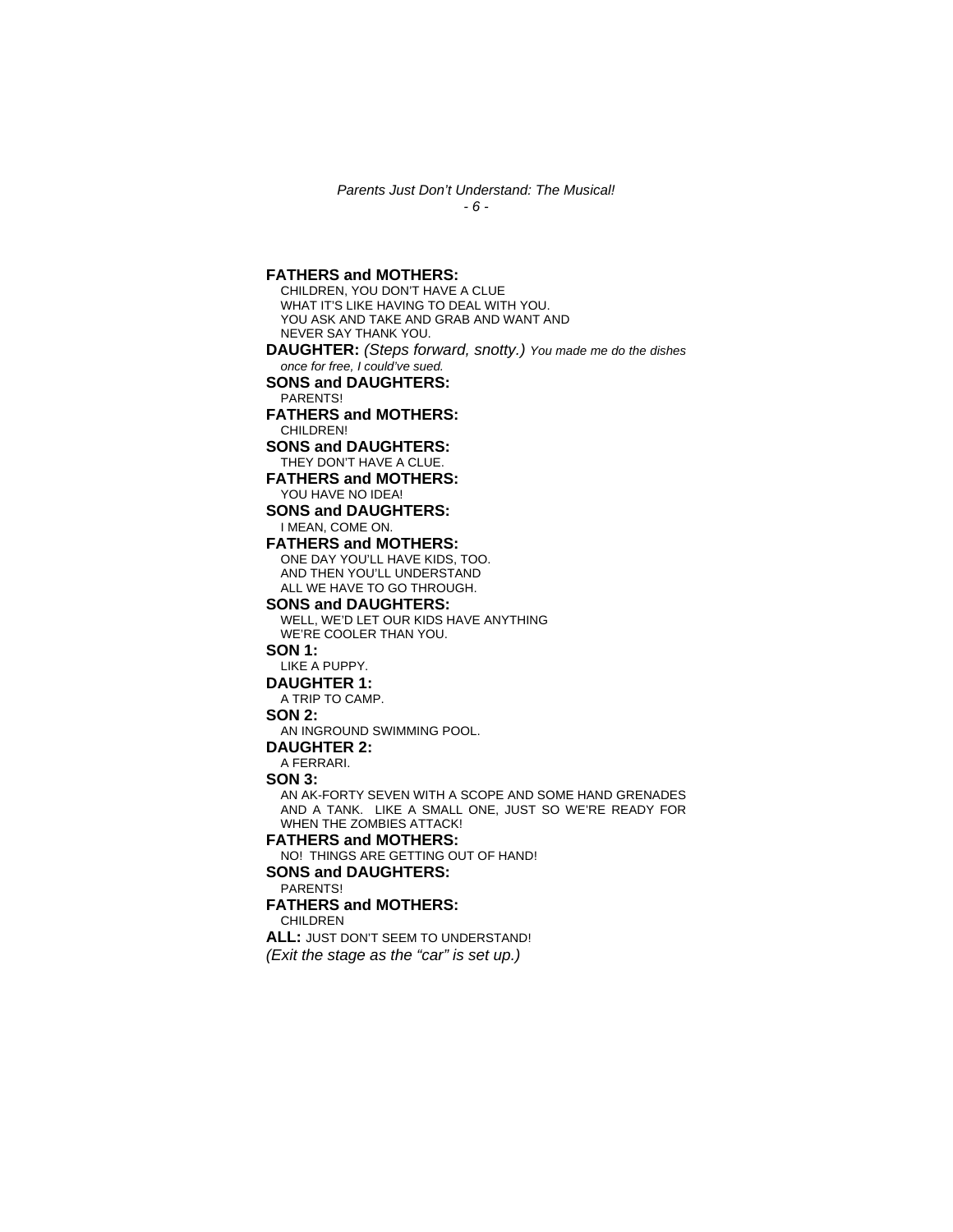*Parents Just Don't Understand: The Musical! - 6 -* 

**FATHERS and MOTHERS:** 

CHILDREN, YOU DON'T HAVE A CLUE WHAT IT'S LIKE HAVING TO DEAL WITH YOU. YOU ASK AND TAKE AND GRAB AND WANT AND NEVER SAY THANK YOU. **DAUGHTER:** *(Steps forward, snotty.) You made me do the dishes once for free, I could've sued.* **SONS and DAUGHTERS:**  PARENTS! **FATHERS and MOTHERS:**  CHILDREN! **SONS and DAUGHTERS:**  THEY DON'T HAVE A CLUE. **FATHERS and MOTHERS:**  YOU HAVE NO IDEA! **SONS and DAUGHTERS:**  I MEAN, COME ON. **FATHERS and MOTHERS:**  ONE DAY YOU'LL HAVE KIDS, TOO. AND THEN YOU'LL UNDERSTAND ALL WE HAVE TO GO THROUGH. **SONS and DAUGHTERS:**  WELL, WE'D LET OUR KIDS HAVE ANYTHING WE'RE COOLER THAN YOU. **SON 1:**  LIKE A PUPPY. **DAUGHTER 1:**  A TRIP TO CAMP. **SON 2:**  AN INGROUND SWIMMING POOL. **DAUGHTER 2:**  A FERRARI. **SON 3:**  AN AK-FORTY SEVEN WITH A SCOPE AND SOME HAND GRENADES AND A TANK. LIKE A SMALL ONE, JUST SO WE'RE READY FOR WHEN THE ZOMBIES ATTACK! **FATHERS and MOTHERS:**  NO! THINGS ARE GETTING OUT OF HAND! **SONS and DAUGHTERS:**  PARENTS! **FATHERS and MOTHERS:**  CHILDREN **ALL:** JUST DON'T SEEM TO UNDERSTAND! *(Exit the stage as the "car" is set up.)*